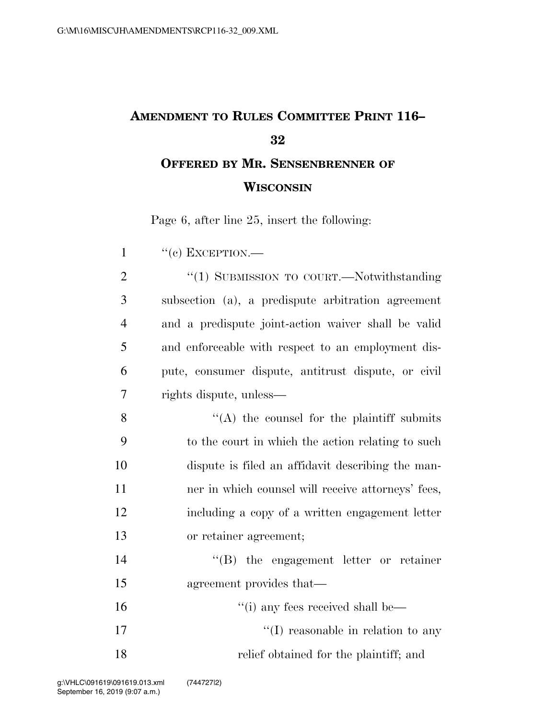## **AMENDMENT TO RULES COMMITTEE PRINT 116– 32 OFFERED BY MR. SENSENBRENNER OF**

## **WISCONSIN**

Page 6, after line 25, insert the following:

 "(c) EXCEPTION.— 2 "(1) SUBMISSION TO COURT.—Notwithstanding subsection (a), a predispute arbitration agreement and a predispute joint-action waiver shall be valid and enforceable with respect to an employment dis- pute, consumer dispute, antitrust dispute, or civil rights dispute, unless—  $"({\rm A})$  the counsel for the plaintiff submits to the court in which the action relating to such dispute is filed an affidavit describing the man-11 ner in which counsel will receive attorneys' fees, including a copy of a written engagement letter or retainer agreement; ''(B) the engagement letter or retainer agreement provides that— 16 ''(i) any fees received shall be—  $\frac{17}{2}$  The reasonable in relation to any relief obtained for the plaintiff; and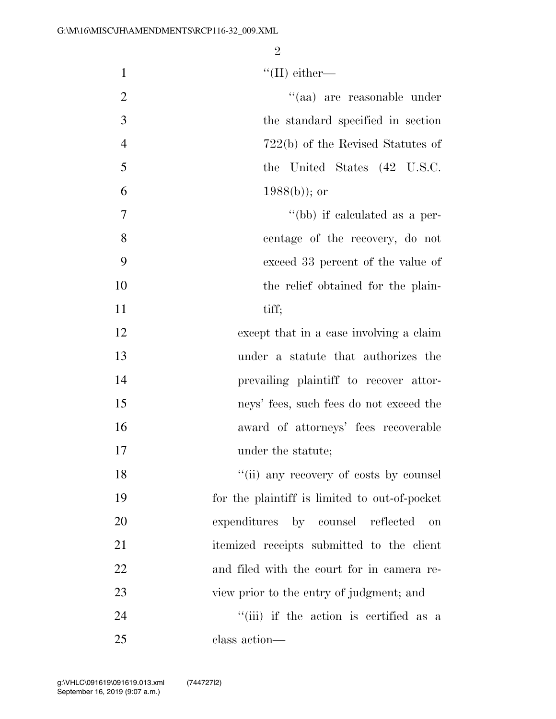|  | $\lq\lq$ (II) either— |
|--|-----------------------|
|--|-----------------------|

| 2              | "(aa) are reasonable under           |
|----------------|--------------------------------------|
| 3              | the standard specified in section    |
| $\overline{4}$ | $722(b)$ of the Revised Statutes of  |
| 5              | the United States (42 U.S.C.         |
| 6              | $1988(b)$ ; or                       |
| 7              | $\lq\lq(bb)$ if calculated as a per- |
| 8              | centage of the recovery, do not      |
| 9              | exceed 33 percent of the value of    |

- 10 the relief obtained for the plain-
- 11 tiff;
- except that in a case involving a claim under a statute that authorizes the prevailing plaintiff to recover attor- neys' fees, such fees do not exceed the award of attorneys' fees recoverable 17 under the statute;

18 ''(ii) any recovery of costs by counsel for the plaintiff is limited to out-of-pocket expenditures by counsel reflected on itemized receipts submitted to the client and filed with the court for in camera re- view prior to the entry of judgment; and 24 ''(iii) if the action is certified as a

class action—